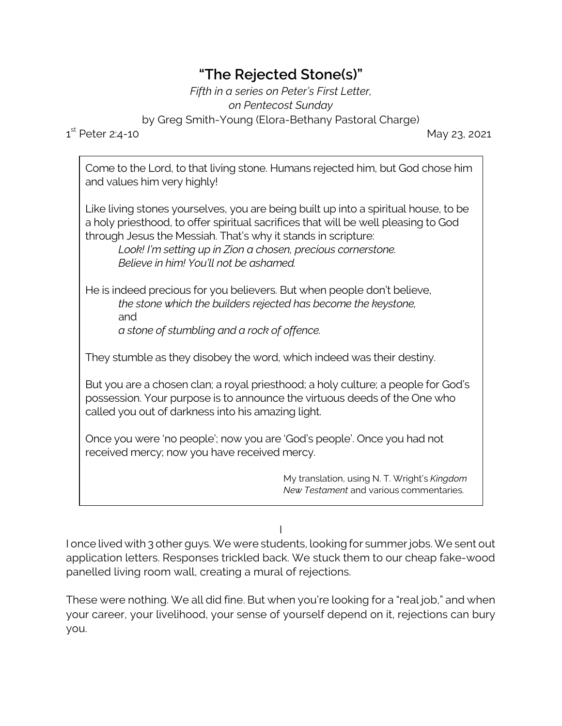## **"The Rejected Stone(s)"**

*Fifth in a series on Peter's First Letter, on Pentecost Sunday*

by Greg Smith-Young (Elora-Bethany Pastoral Charge)

 $1^{\text{st}}$ 

May 23, 2021

Come to the Lord, to that living stone. Humans rejected him, but God chose him and values him very highly!

Like living stones yourselves, you are being built up into a spiritual house, to be a holy priesthood, to offer spiritual sacrifices that will be well pleasing to God through Jesus the Messiah. That's why it stands in scripture:

*Look! I'm setting up in Zion a chosen, precious cornerstone. Believe in him! You'll not be ashamed.*

He is indeed precious for you believers. But when people don't believe, *the stone which the builders rejected has become the keystone,* and *a stone of stumbling and a rock of offence.*

They stumble as they disobey the word, which indeed was their destiny.

But you are a chosen clan; a royal priesthood; a holy culture; a people for God's possession. Your purpose is to announce the virtuous deeds of the One who called you out of darkness into his amazing light.

Once you were 'no people'; now you are 'God's people'. Once you had not received mercy; now you have received mercy.

> My translation, using N. T. Wright's *Kingdom New Testament* and various commentaries.

I

I once lived with 3 other guys. We were students, looking for summer jobs. We sent out application letters. Responses trickled back. We stuck them to our cheap fake-wood panelled living room wall, creating a mural of rejections.

These were nothing. We all did fine. But when you're looking for a "real job," and when your career, your livelihood, your sense of yourself depend on it, rejections can bury you.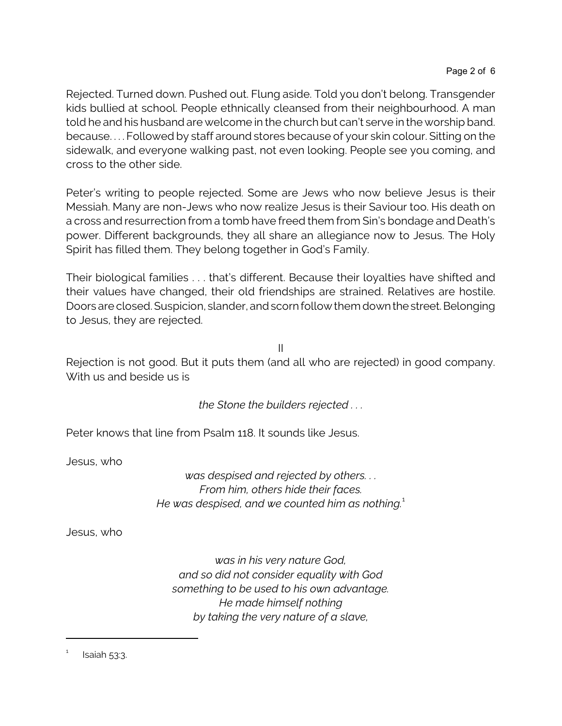Rejected. Turned down. Pushed out. Flung aside. Told you don't belong. Transgender kids bullied at school. People ethnically cleansed from their neighbourhood. A man told he and his husband are welcome in the church but can't serve in the worship band. because. . . . Followed by staff around stores because of your skin colour. Sitting on the sidewalk, and everyone walking past, not even looking. People see you coming, and cross to the other side.

Peter's writing to people rejected. Some are Jews who now believe Jesus is their Messiah. Many are non-Jews who now realize Jesus is their Saviour too. His death on a cross and resurrection from a tomb have freed them from Sin's bondage and Death's power. Different backgrounds, they all share an allegiance now to Jesus. The Holy Spirit has filled them. They belong together in God's Family.

Their biological families . . . that's different. Because their loyalties have shifted and their values have changed, their old friendships are strained. Relatives are hostile. Doors are closed. Suspicion, slander, and scorn follow them downthestreet.Belonging to Jesus, they are rejected.

II

Rejection is not good. But it puts them (and all who are rejected) in good company. With us and beside us is

*the Stone the builders rejected . . .*

Peter knows that line from Psalm 118. It sounds like Jesus.

Jesus, who

*was despised and rejected by others. . . From him, others hide their faces. He was despised, and we counted him as nothing.*<sup>1</sup>

Jesus, who

*was in his very nature God, and so did not consider equality with God something to be used to his own advantage. He made himself nothing by taking the very nature of a slave,*

<sup>1</sup> Isaiah 53:3.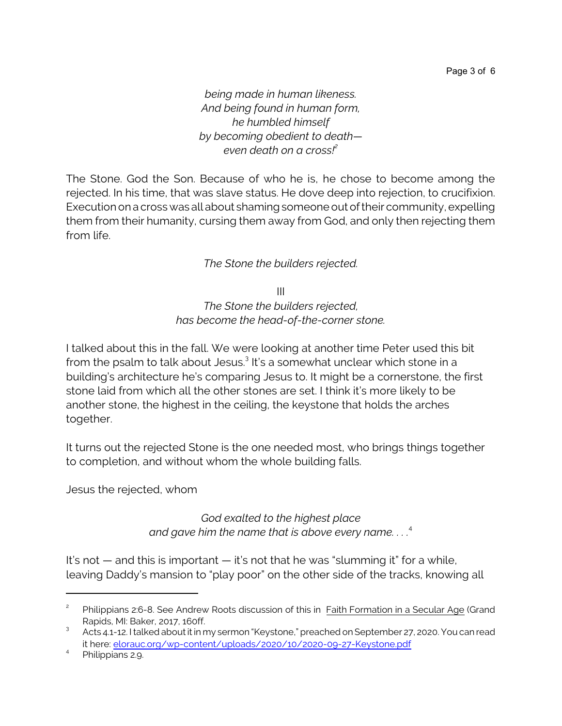*being made in human likeness. And being found in human form, he humbled himself by becoming obedient to death even death on a cross!<sup>2</sup>*

The Stone. God the Son. Because of who he is, he chose to become among the rejected. In his time, that was slave status. He dove deep into rejection, to crucifixion. Execution on a cross was all about shaming someone out of their community, expelling them from their humanity, cursing them away from God, and only then rejecting them from life.

## *The Stone the builders rejected.*

III *The Stone the builders rejected, has become the head-of-the-corner stone.*

I talked about this in the fall. We were looking at another time Peter used this bit from the psalm to talk about Jesus.<sup>3</sup> It's a somewhat unclear which stone in a building's architecture he's comparing Jesus to. It might be a cornerstone, the first stone laid from which all the other stones are set. I think it's more likely to be another stone, the highest in the ceiling, the keystone that holds the arches together.

It turns out the rejected Stone is the one needed most, who brings things together to completion, and without whom the whole building falls.

Jesus the rejected, whom

*God exalted to the highest place and gave him the name that is above every name. . . .*<sup>4</sup>

It's not  $-$  and this is important  $-$  it's not that he was "slumming it" for a while, leaving Daddy's mansion to "play poor" on the other side of the tracks, knowing all

<sup>2</sup> Philippians 2:6-8. See Andrew Roots discussion of this in Faith Formation in a Secular Age (Grand Rapids, MI: Baker, 2017, 160ff.

<sup>3</sup> Acts 4.1-12. I talked about it in my sermon "Keystone," preached on September 27, 2020. You can read it here: [elorauc.org/wp-content/uploads/2020/10/2020-09-27-Keystone.pdf](https://elorauc.org/wp-content/uploads/2020/10/2020-09-27-Keystone.pdf)

<sup>4</sup> Philippians 2.9.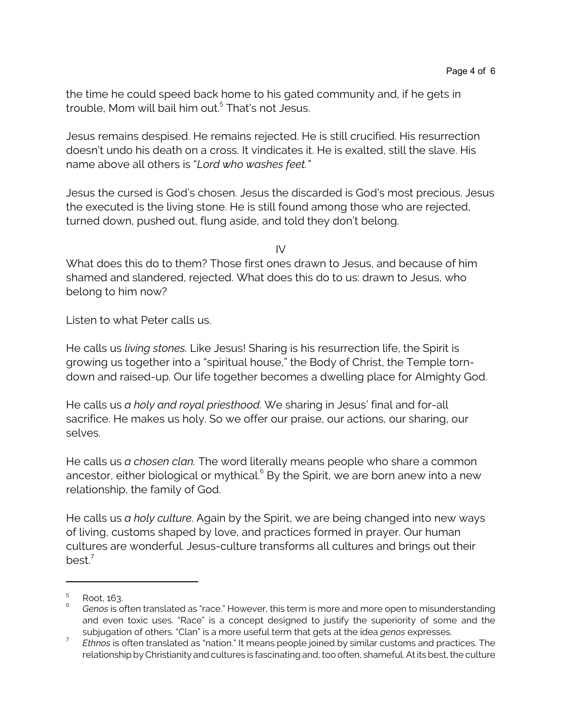the time he could speed back home to his gated community and, if he gets in trouble, Mom will bail him out. 5 That's not Jesus.

Jesus remains despised. He remains rejected. He is still crucified. His resurrection doesn't undo his death on a cross. It vindicates it. He is exalted, still the slave. His name above all others is "*Lord who washes feet."*

Jesus the cursed is God's chosen. Jesus the discarded is God's most precious. Jesus the executed is the living stone. He is still found among those who are rejected, turned down, pushed out, flung aside, and told they don't belong.

 $IV$ 

What does this do to them? Those first ones drawn to Jesus, and because of him shamed and slandered, rejected. What does this do to us: drawn to Jesus, who belong to him now?

Listen to what Peter calls us.

He calls us *living stones.* Like Jesus! Sharing is his resurrection life, the Spirit is growing us together into a "spiritual house," the Body of Christ, the Temple torndown and raised-up. Our life together becomes a dwelling place for Almighty God.

He calls us *a holy and royal priesthood*. We sharing in Jesus' final and for-all sacrifice. He makes us holy. So we offer our praise, our actions, our sharing, our selves.

He calls us *a chosen clan.* The word literally means people who share a common ancestor, either biological or mythical. $^{\circ}$  By the Spirit, we are born anew into a new relationship, the family of God.

He calls us *a holy culture*. Again by the Spirit, we are being changed into new ways of living, customs shaped by love, and practices formed in prayer. Our human cultures are wonderful. Jesus-culture transforms all cultures and brings out their best. $7$ 

<sup>5</sup> Root, 163.

<sup>6</sup> *Genos* is often translated as "race." However, this term is more and more open to misunderstanding and even toxic uses. "Race" is a concept designed to justify the superiority of some and the subjugation of others. "Clan" is a more useful term that gets at the idea *genos* expresses.

<sup>7</sup> *Ethnos* is often translated as "nation." It means people joined by similar customs and practices. The relationship by Christianity and cultures is fascinating and, too often, shameful. At its best, the culture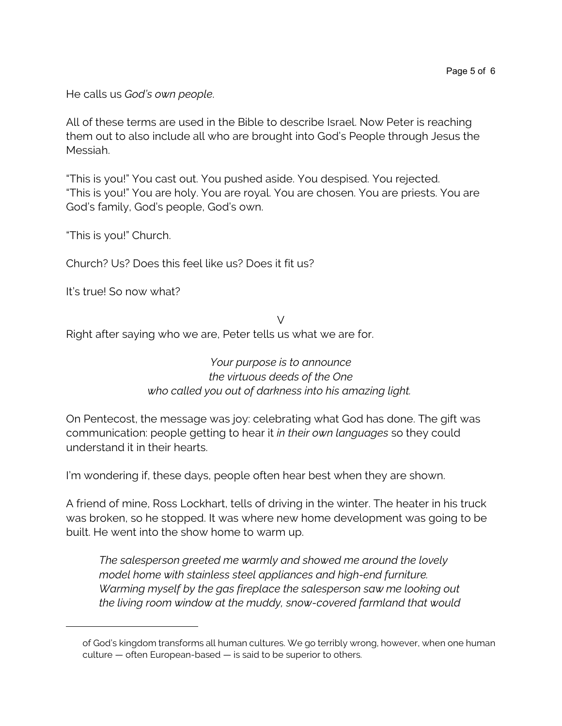He calls us *God's own people*.

All of these terms are used in the Bible to describe Israel. Now Peter is reaching them out to also include all who are brought into God's People through Jesus the Messiah.

"This is you!" You cast out. You pushed aside. You despised. You rejected. "This is you!" You are holy. You are royal. You are chosen. You are priests. You are God's family, God's people, God's own.

"This is you!" Church.

Church? Us? Does this feel like us? Does it fit us?

It's true! So now what?

 $\vee$ Right after saying who we are, Peter tells us what we are for.

> *Your purpose is to announce the virtuous deeds of the One who called you out of darkness into his amazing light.*

On Pentecost, the message was joy: celebrating what God has done. The gift was communication: people getting to hear it *in their own languages* so they could understand it in their hearts.

I'm wondering if, these days, people often hear best when they are shown.

A friend of mine, Ross Lockhart, tells of driving in the winter. The heater in his truck was broken, so he stopped. It was where new home development was going to be built. He went into the show home to warm up.

*The salesperson greeted me warmly and showed me around the lovely model home with stainless steel appliances and high-end furniture. Warming myself by the gas fireplace the salesperson saw me looking out the living room window at the muddy, snow-covered farmland that would*

of God's kingdom transforms all human cultures. We go terribly wrong, however, when one human culture — often European-based — is said to be superior to others.